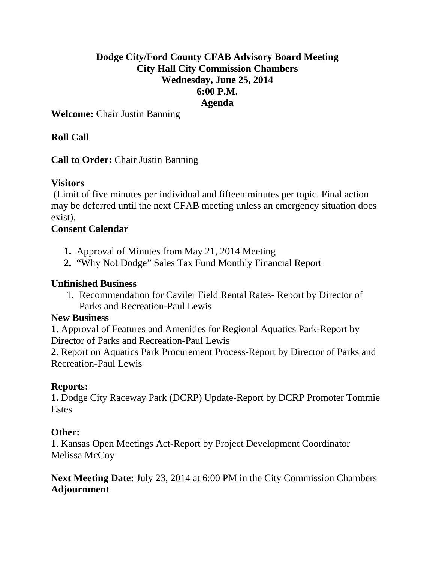# **Dodge City/Ford County CFAB Advisory Board Meeting City Hall City Commission Chambers Wednesday, June 25, 2014 6:00 P.M. Agenda**

**Welcome:** Chair Justin Banning

**Roll Call** 

**Call to Order:** Chair Justin Banning

# **Visitors**

 (Limit of five minutes per individual and fifteen minutes per topic. Final action may be deferred until the next CFAB meeting unless an emergency situation does exist).

# **Consent Calendar**

- **1.** Approval of Minutes from May 21, 2014 Meeting
- **2.** "Why Not Dodge" Sales Tax Fund Monthly Financial Report

### **Unfinished Business**

1. Recommendation for Caviler Field Rental Rates- Report by Director of Parks and Recreation-Paul Lewis

# **New Business**

**1**. Approval of Features and Amenities for Regional Aquatics Park-Report by Director of Parks and Recreation-Paul Lewis

**2**. Report on Aquatics Park Procurement Process-Report by Director of Parks and Recreation-Paul Lewis

# **Reports:**

**1.** Dodge City Raceway Park (DCRP) Update-Report by DCRP Promoter Tommie Estes

# **Other:**

**1**. Kansas Open Meetings Act-Report by Project Development Coordinator Melissa McCoy

**Next Meeting Date:** July 23, 2014 at 6:00 PM in the City Commission Chambers **Adjournment**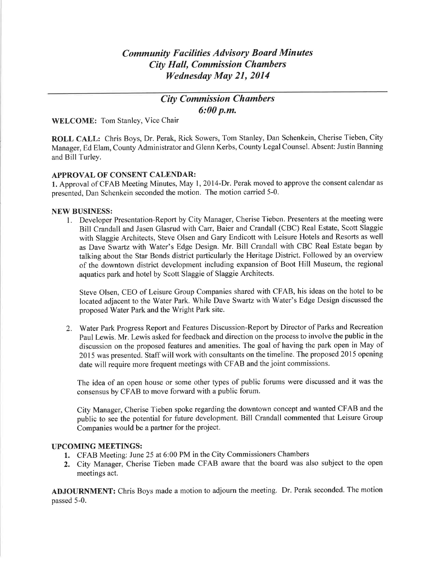### **Community Facilities Advisory Board Minutes City Hall, Commission Chambers** Wednesday May 21, 2014

### **City Commission Chambers**  $6:00 p.m.$

#### **WELCOME:** Tom Stanley, Vice Chair

ROLL CALL: Chris Boys, Dr. Perak, Rick Sowers, Tom Stanley, Dan Schenkein, Cherise Tieben, City Manager, Ed Elam, County Administrator and Glenn Kerbs, County Legal Counsel. Absent: Justin Banning and Bill Turley.

#### APPROVAL OF CONSENT CALENDAR:

1. Approval of CFAB Meeting Minutes, May 1, 2014-Dr. Perak moved to approve the consent calendar as presented. Dan Schenkein seconded the motion. The motion carried 5-0.

#### **NEW BUSINESS:**

1. Developer Presentation-Report by City Manager, Cherise Tieben. Presenters at the meeting were Bill Crandall and Jasen Glasrud with Carr, Baier and Crandall (CBC) Real Estate, Scott Slaggie with Slaggie Architects, Steve Olsen and Gary Endicott with Leisure Hotels and Resorts as well as Dave Swartz with Water's Edge Design. Mr. Bill Crandall with CBC Real Estate began by talking about the Star Bonds district particularly the Heritage District. Followed by an overview of the downtown district development including expansion of Boot Hill Museum, the regional aquatics park and hotel by Scott Slaggie of Slaggie Architects.

Steve Olsen, CEO of Leisure Group Companies shared with CFAB, his ideas on the hotel to be located adjacent to the Water Park. While Dave Swartz with Water's Edge Design discussed the proposed Water Park and the Wright Park site.

2. Water Park Progress Report and Features Discussion-Report by Director of Parks and Recreation Paul Lewis. Mr. Lewis asked for feedback and direction on the process to involve the public in the discussion on the proposed features and amenities. The goal of having the park open in May of 2015 was presented. Staff will work with consultants on the timeline. The proposed 2015 opening date will require more frequent meetings with CFAB and the joint commissions.

The idea of an open house or some other types of public forums were discussed and it was the consensus by CFAB to move forward with a public forum.

City Manager, Cherise Tieben spoke regarding the downtown concept and wanted CFAB and the public to see the potential for future development. Bill Crandall commented that Leisure Group Companies would be a partner for the project.

#### **UPCOMING MEETINGS:**

- 1. CFAB Meeting: June 25 at 6:00 PM in the City Commissioners Chambers
- 2. City Manager, Cherise Tieben made CFAB aware that the board was also subject to the open meetings act.

ADJOURNMENT: Chris Boys made a motion to adjourn the meeting. Dr. Perak seconded. The motion passed 5-0.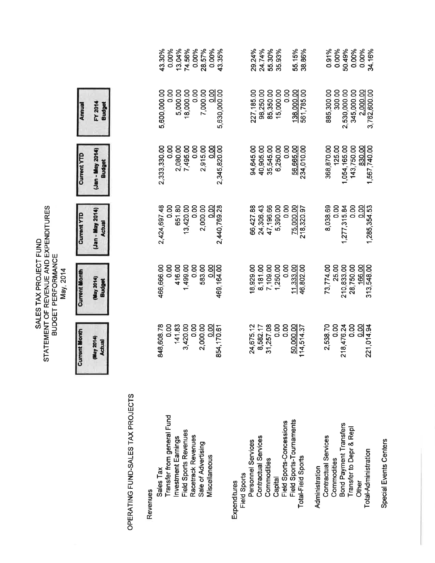|                                                |                             | <b>BUDGEI PERFORMANCE</b><br>May, 2014 |                                   |                                   |                          |                  |
|------------------------------------------------|-----------------------------|----------------------------------------|-----------------------------------|-----------------------------------|--------------------------|------------------|
|                                                | <b>Current Month</b>        | <b>Current Month</b>                   | <b>Current YTD</b>                | Current YTD                       | Annual                   |                  |
|                                                | (May 2014)<br><b>Actual</b> | (May 2014)<br><b>Budget</b>            | (Jan - May 2014)<br><b>Actual</b> | (Jan - May 2014)<br><b>Budget</b> | FY 2014<br><b>Budget</b> |                  |
| OPERATING FUND-SALES TAX PROJECTS              |                             |                                        |                                   |                                   |                          |                  |
| Revenues                                       |                             |                                        |                                   |                                   |                          |                  |
| Sales Tax                                      | 848,608.78                  | 466,666.00                             | 2424,697.48                       | 2,333,330.00                      | 5,600,000.00             | 43.30%           |
| Transfer from general Fund                     | 0.00                        | 0.00                                   | 0.00                              | <b>00.00</b>                      | 0.00                     | 0.00%            |
| Investment Earnings                            | 141.83                      | 416.00                                 | 651.80                            |                                   | 5,000.00                 | 13.04%           |
| Field Sports Revenues                          | 3,420.00                    | 1,499.00                               | 13,420.00                         | 2,080.00                          | 18,000.00                | 74.56%           |
| Racetrack Revenues                             | 0.00                        | 0.00                                   | <b>00.00</b>                      | 0.00                              | 0.00                     | 0.00%            |
| Sale of Advertising                            | 2,000.00                    | 583.00                                 | 2,000.00                          | 2,915.00                          | 7,000.00                 | 28.57%           |
| Miscellaneous                                  | $rac{1}{2}$<br>854,170.61   | 469,164.00                             | $rac{1}{2}$<br>2,440,769.28       | 0.00<br>2,345,820.00              | 0.00<br>5,630,000.00     | 0.00%<br>43.35%  |
| Expenditures                                   |                             |                                        |                                   |                                   |                          |                  |
| Field Sports                                   |                             |                                        |                                   |                                   |                          |                  |
| Personnel Services                             | 24,675.12                   | 18,929.00                              | 66,427.88                         | 94,645.00                         | 227,185.00               | 29.24%           |
| Contractual Services                           | 8,582.17                    | 8,181.00                               | 24,306.43                         | 40,905.00                         | 98,250.00                | 24.74%           |
| Commodities                                    | 31,257.08                   | 7,109.00                               | 47,19666                          | 35,545.00                         | 85,350.00                | 55.30%           |
| Capital                                        | 0.00                        | 1,250.00                               | 5,390.00                          | 6,250.00                          | 15,000.00                | 35.93%           |
| Field Sports-Concessions                       | 0.00                        | 0.00                                   | 0.00                              | 0.00                              | 0.00                     |                  |
| Field Sports-Tournaments<br>Total-Field Sports | 50,000.00<br>114,514.37     | 46,802.00<br>11,333.00                 | 75,000.00<br>218,320.97           | 56,665.00<br>234,010.00           | 136,000.00<br>561,785.00 | 55.15%<br>38.86% |
| Administration                                 |                             |                                        |                                   |                                   |                          |                  |
| Contractual Services                           | 2,538.70                    | 73,774.00                              | 8,038.69                          | 368,870.00                        | 885,300.00               | 0.91%            |
| Commodities                                    | oo<br>O                     | 25.00                                  | 00.0                              | 125.00                            | 300.00                   | 0.00%            |
| Bond Payment Transfers                         | 218,476.24                  | 210,833.00                             | 1,277,315.84                      | 1,054,165.00                      | 2,530,000.00             | 50.49%           |
| Transfer to Depr & Repl                        | O.OO                        | 28,750.00                              | 8.00                              | 143,750.00                        | 345,000.00               | 0.00%            |
| Total-Administration<br>Other                  | 0.00<br>221,014.94          | 166.00<br>313,548.00                   | 0.00                              | 830.00                            | 2,000.00                 | 0.00%            |
|                                                |                             |                                        | 1,285,354.53                      | 1,567,740.00                      | 3,762,600.00             | 34.16%           |

SALES TAX PROJECT FUND<br>STATEMENT OF REVENUE AND EXPENDITURES<br>BUDGET PERFORMANCF

Special Events Centers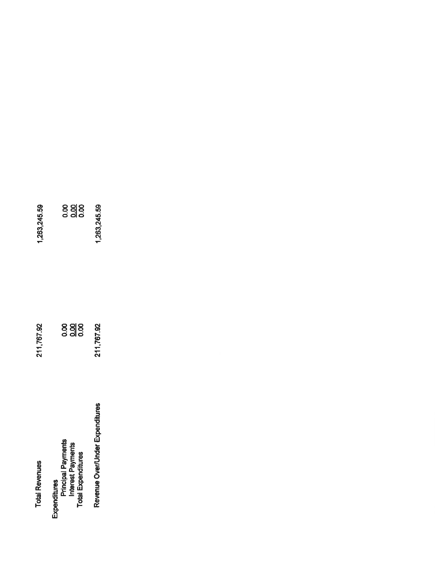| 263,245.59            | 888<br>888                                                                | ,263,245.59                     |
|-----------------------|---------------------------------------------------------------------------|---------------------------------|
| 211,767.92            | 888<br>888                                                                | 211,767.92                      |
| <b>Total Revenues</b> | Principal Payment<br>nterest Payment<br>otal Expenditures<br>Expenditures | Revenue Over/Under Expenditures |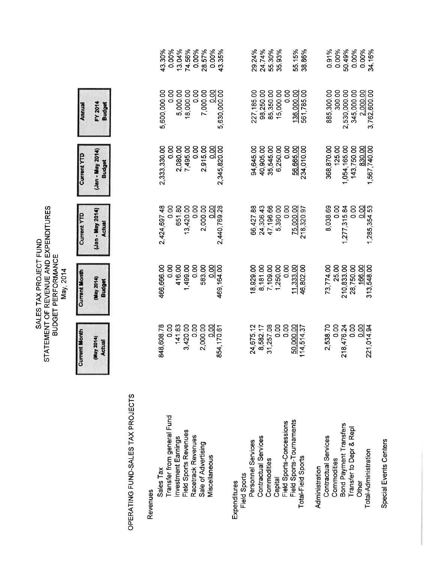|                                                      |                              | STATEMENT OF REVENUE AND EXPENDITURES<br>SALES TAX PROJECT FUND<br><b>BUDGET PERFORMANCE</b><br>May, 2014 |                            |                                   |                          |                  |
|------------------------------------------------------|------------------------------|-----------------------------------------------------------------------------------------------------------|----------------------------|-----------------------------------|--------------------------|------------------|
|                                                      | <b>Current Month</b>         | <b>Current Month</b>                                                                                      | <b>Current YTD</b>         | <b>Current YTD</b>                | Annual                   |                  |
|                                                      | (May 2014)<br><b>Actual</b>  | (May 2014)<br><b>Budget</b>                                                                               | (Jan - May 2014)<br>Actual | (Jan - May 2014)<br><b>Budget</b> | FY 2014<br><b>Budget</b> |                  |
| OPERATING FUND-SALES TAX PROJECTS                    |                              |                                                                                                           |                            |                                   |                          |                  |
| Revenues                                             |                              |                                                                                                           |                            |                                   |                          |                  |
| Sales Tax                                            | 848,608.78                   | 466,666.00                                                                                                | 2,424,697.48               | 2,333,330.00                      | 5,600,000.00             | 43.30%           |
| Transfer from general Fund                           | 0.00                         | 0.00                                                                                                      | 0.00                       | 0.00                              | 80<br>O.O                | 0.00%            |
| Investment Earnings                                  | 141.83                       | 416.00                                                                                                    | 651.80                     | 2,080.00                          | 5,000.00                 | 13.04%           |
| Field Sports Revenues<br>Racetrack Revenues          | 3,420.00<br>0.00             | 0.00<br>1,499.00                                                                                          | 13,420.00<br>0.00          | 7,495.00<br>0.00                  | <b>0.00</b><br>18,000.00 | 0.00%<br>74.56%  |
| Sale of Advertising                                  | 2,000.00                     | 583.00                                                                                                    | 2,000.00                   | 2,915.00                          | 7,000.00                 | 28.57%           |
| Miscellaneous                                        | $rac{10}{10}$                | 0.00                                                                                                      | 0.00                       | 0.00                              | 0.00                     | 0.00%            |
|                                                      | 854,170.61                   | 469,164.00                                                                                                | 2,440,769.28               | 2,345,820.00                      | 5,630,000.00             | 43.35%           |
| Field Sports<br>Expenditures                         |                              |                                                                                                           |                            |                                   |                          |                  |
| Personnel Services                                   | 24,675.12                    | 18,929.00                                                                                                 | 66,427.88                  | 94,645.00                         | 227,185.00               | 29.24%           |
| Contractual Services                                 | 8,582.17                     | 8,181.00                                                                                                  | 24,306.43                  | 40,905.00                         | 98,250.00                | 24.74%           |
| Commodities                                          | 31,257.08                    | 7,109.00                                                                                                  | 47,196.66                  | 35,545.00                         | 85,350.00                | 55.30%           |
| Capital                                              | 0.00                         | 1,250.00                                                                                                  | 5,390.00                   | 6,250.00                          | 15,000.00                | 35.93%           |
| Field Sports-Tournaments<br>Field Sports-Concessions | 0.00<br>50,000.00            | 11,333.00<br>0.00                                                                                         | 0.00<br>75,000.00          | 0.00                              | 0.00                     |                  |
| Total-Field Sports                                   | 114,514.37                   | 46,802.00                                                                                                 | 218,320.97                 | 234,010.00<br>56,665.00           | 136,000.00<br>561,785.00 | 55.15%<br>38.86% |
| Administration                                       |                              |                                                                                                           |                            |                                   |                          |                  |
| Contractual Services                                 | 2,538.70                     | 73,774.00                                                                                                 | 8,038.69                   | 368,870.00                        | 885,300.00               | 0.91%            |
| Commodities                                          | 0.00                         | 25.00                                                                                                     | ooo                        | 125.00                            | 300.00                   | 0.00%            |
| Bond Payment Transfers                               | 218,476.24                   | 210,833.00                                                                                                | 1,277,315.84               | 1,054,165.00                      | 2,530,000.00             | 50.49%           |
| Transfer to Depr & Repl                              | <b>0.00</b>                  | 28,750.00                                                                                                 | 8 <sub>0</sub>             | 143,750.00                        | 345,000.00               | 0.00%            |
| Total-Administration<br>Other                        | $\frac{10}{2}$<br>221,014.94 | 166.00<br>313,548.00                                                                                      | 0.00                       | 830.00                            | 2,000.00                 | 0.00%            |
|                                                      |                              |                                                                                                           | 1,285,354.53               | 1,567,740.00                      | 3,762,600.00             | 34.16%           |

Special Events Centers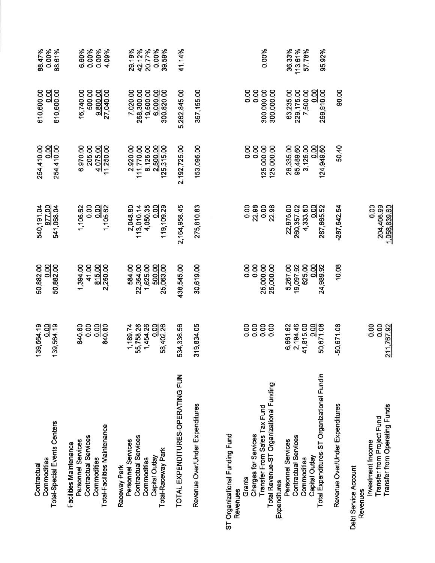| Contractual                                             | 139,564.19         | 50,882.00           | 540, 191.04          | 254,410.00             | 610,600.00                  | 88.47%          |
|---------------------------------------------------------|--------------------|---------------------|----------------------|------------------------|-----------------------------|-----------------|
| Total-Special Events Centers<br>Commodities             | 0.00<br>139,564.19 | 0.00<br>50,882.00   | 877.00<br>541,068.04 | 0.00<br>254,410.00     | 610,600.00<br>$\frac{8}{2}$ | 0.00%<br>88.61% |
| Facilities Maintenance                                  |                    |                     |                      |                        |                             |                 |
| Personnel Services                                      | 840.80             | 1,394.00            | 1,105.62             | 6,970.00               | 16,740.00                   | 6.60%           |
| Contractual Services                                    | 0.00               | 41.00               | 0.00                 | 205.00                 | 500.00                      | 0.00%           |
| Commodities                                             |                    |                     |                      | 4,075.00               | 9,800.00                    | 0.00%           |
| Total-Facilities Maintenance                            | 0.00<br>840.80     | 815.00              | 1,105.62             | 11,250.00              | 27,040.00                   | 4.09%           |
| Raceway Park                                            |                    |                     |                      |                        |                             |                 |
| Personnel Services                                      | 1,189.74           | 584.00              | 2,048.80             | 2,920.00               | 7,020.00                    | 29.19%          |
| Contractual Services                                    | 55,758.26          | 22,354.00           | 113,010.14           | 111,770.00             | 268,300.00                  | 42.12%          |
| Commodities                                             | 1,454.26           | 1,625.00            | 4,050.35             | 8,125.00               | 19,500.00                   | 20.77%          |
| Total-Raceway Park<br>Capital Outlay                    | 58,402.26          | 25,063.00<br>500.00 | 119,109.29           | 2,500.00<br>125,315.00 | 6,000.00<br>300,820.00      | 0.00%<br>39.59% |
| TOTAL EXPENDITURES-OPERATING FUN                        | 534,336.56         | 438,545.00          | 2,164,958.45         | 2, 192, 725.00         | 5,262,845.00                | 41.14%          |
| Revenue Over/Under Expenditures                         | 319,834.05         | 30,619.00           | 275,810.83           | 153,095.00             | 367, 155.00                 |                 |
| ST Organizational Funding Fund                          |                    |                     |                      |                        |                             |                 |
| Revenues                                                |                    |                     |                      |                        |                             |                 |
| Grants                                                  | 8 <sub>0</sub>     | 0.00                | 0.00                 | <b>0.00</b>            | 0.00                        |                 |
| Charges for Services                                    | 0.00               | 0.00                | 22.98                | 0.00                   | 0.00                        |                 |
| Transfer From Sales Tax Fund                            | 0.00               | 25,000.00           | 0.00                 | 125,000.00             | 300,000.00                  | 0.00%           |
| Total Revenue-ST Organizational Funding<br>Expenditures | 0.00               | 25,000.00           | 22.98                | 125,000.00             | 300,000.00                  |                 |
| Personnel Services                                      | 6,661.62           | 5,26700             | 22,975.00            | 26,335.00              | 63,235.00                   | 36.33%          |
| Contractual Services                                    | 2,194.46           | 19,097.92           | 260,357.02           | 95,489.60              |                             | 113.61%         |
| Commodities                                             | 41,815.00          | 625.00              | 4,333.50             | 3,125.00               | 229,175.00<br>7,500.00      | 57.78%          |
| Capital Outlay                                          | 0.00               |                     | $rac{1}{2}$          | 0.00                   | $rac{20}{20}$               |                 |
| Total Expenditures-ST Organizational Fundin             | 50,671.08          | 24,989.92           | 287,665.52           | 124,949.60             | 299,910.00                  | 95.92%          |
| Revenue Over/Under Expenditures                         | $-50,671.08$       | 10.08               | $-287,642.54$        | 50.40                  | 90.00                       |                 |
| Debt Service Account<br>Revenues                        |                    |                     |                      |                        |                             |                 |
| Transfer from Project Fund<br>Investment Income         | 0.00               |                     | 0.00<br>204,405.99   |                        |                             |                 |
| Transfer from Operating Funds                           | 0.00<br>211,767.92 |                     | 1,058,839.60         |                        |                             |                 |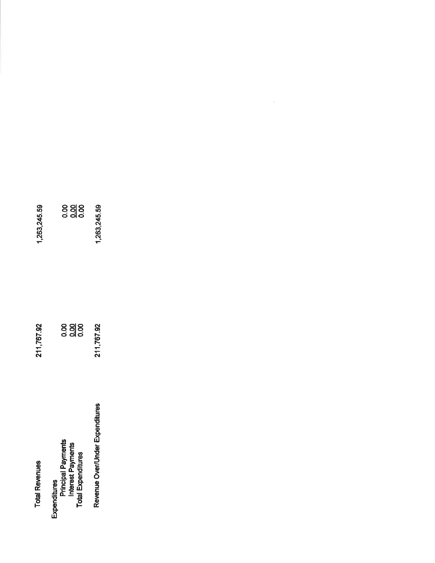| ,263,245.59           | 8 8 8<br>8 8 8<br>9 8 9                                                       | ,263,245.59                     |
|-----------------------|-------------------------------------------------------------------------------|---------------------------------|
| 211,767.92            | 8 8 8<br>8 8 8<br>9 8 9                                                       | 211,767.92                      |
| <b>Total Revenues</b> | Principal Payments<br>Interest Payments<br>Total Expenditures<br>Expenditures | Revenue Over/Under Expenditures |

 $\mathcal{L}=\mathcal{L}$  .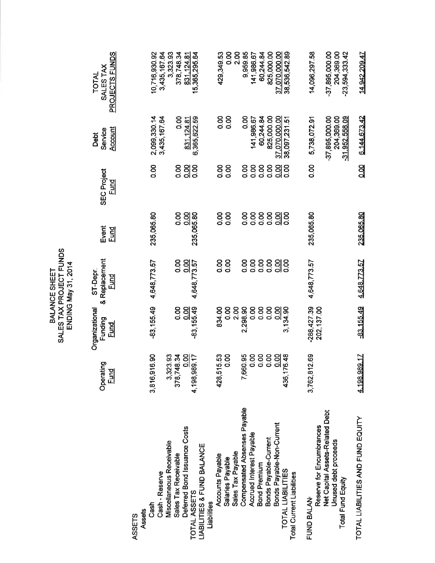|                                                         | Operating<br><u>Fund</u>           | Organizational<br>Funding<br><u>Fund</u> | Replacement<br>ST-Depr.<br><u>Fund</u><br>οð | Event<br><b>Fund</b> | <b>SEC Project</b><br>Fund | Account<br>Service<br>Debt     | <b>PROJECTS FUNDS</b><br>SALES TAX<br>TOTAL |  |
|---------------------------------------------------------|------------------------------------|------------------------------------------|----------------------------------------------|----------------------|----------------------------|--------------------------------|---------------------------------------------|--|
| Assets<br><b>ASSETS</b>                                 |                                    |                                          |                                              |                      |                            |                                |                                             |  |
| Cash - Reserve<br><b>Gash</b>                           | 3,816,916.90                       | $-83,155.49$                             | 4,648,773.57                                 | 235,065.80           | <b>0.00</b>                | 2,099,330.14                   | 10,716,930.92                               |  |
| Miscellaneous Receivable                                | 3,323.93                           |                                          |                                              |                      |                            | 3,435,167.64                   | 3,435,167.64<br>3,323.93                    |  |
| Sales Tax Receivable                                    |                                    | OO.O                                     | 0.00                                         | 0.00                 | 0.00                       | 8.00                           | 378,748.34                                  |  |
| Deferred Bond Issuance Costs<br>TOTAL ASSETS            | 378,748.34<br>0.00<br>4,198,989.17 | 0.00<br>83,155.49                        | 4,648,773.57                                 | 235,065.80           | 0.00                       | 831, 124.81                    | 831, 124.81                                 |  |
| LIABILITIES & FUND BALANCE<br>Liabilities               |                                    |                                          |                                              |                      | 0.00                       | 6,365,622.59                   | 15,365,295.64                               |  |
| Accounts Payable                                        | 428,515.53                         | 834.00                                   | oo<br>O                                      | 88<br>0.00           | 880                        | <b>0.00</b>                    | 429,349.53                                  |  |
| Salaries Payable                                        | 0.00                               | 0.00                                     | 0.00                                         |                      |                            | 0.00                           | $\frac{0}{0}$                               |  |
| Sales Tax Payable                                       |                                    | 2.00                                     |                                              |                      |                            |                                | 2.00                                        |  |
| Compensated Absenses Payable                            |                                    | 2,298.90                                 | 0.00                                         | 0.00                 | <b>0.00</b>                | 0.00                           | 9,959.85                                    |  |
| Accrued Interest Payable                                |                                    | 0.00                                     | 0.00                                         | 0.00                 | O.OO                       | 141,986.67                     | 141,986.67                                  |  |
| <b>Bond Premium</b>                                     |                                    | 0.00                                     |                                              |                      | oo.o                       | 60,244.84                      | 60,244.84                                   |  |
| Bonds Payable-Current                                   |                                    | 0.00                                     |                                              |                      | 0.00                       | 825,000.00                     | 825,000.00                                  |  |
| Bonds Payable-Non-Current                               |                                    | 0.00                                     | 8888                                         | 8888                 | 0.00                       | 37,070,000.00                  | 37,070,000.00                               |  |
| TOTAL LIABILITIES<br><b>Total Current Liabilities</b>   |                                    | 3,134.90                                 |                                              |                      | 0.00                       | 38,097,231.51                  | 38,536,542.89                               |  |
| Reserve for Encumbrances<br>FUND BALAN                  | 3,762,812.69                       | $-288,427.39$<br>202,137.00              | 4,648,773.57                                 | 235,065.80           | 0.00                       | 5,738,072.91                   | 14,096,297.58                               |  |
| Net Capital Assets-Related Debt<br>Unused debt proceeds |                                    |                                          |                                              |                      |                            | $-37,895,000.00$               | $-37,895,000.00$                            |  |
| <b>Total Fund Equity</b>                                |                                    |                                          |                                              |                      |                            | 204,369.00<br>$-31,952,558.09$ | 204,369.00<br>$-23,594,333.42$              |  |
| TOTAL LIABILITIES AND FUND EQUITY                       | N<br>4.198.989.1                   | 33.155.49                                | 4,648,773.57                                 | 235.065.80           | <b>Si</b>                  | 6.144.673.42                   | 14.942.209.47                               |  |
|                                                         |                                    |                                          |                                              |                      |                            |                                |                                             |  |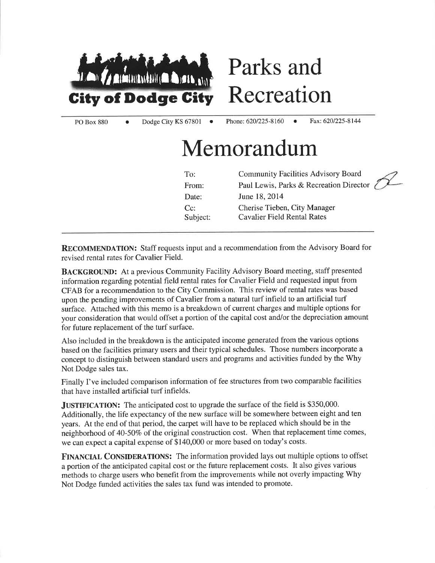

# Parks and

| PO Box 880 | Dodge City KS 67801 • Phone: 620/225-8160 • |                                    | Fax: 620/225-8144                          |  |
|------------|---------------------------------------------|------------------------------------|--------------------------------------------|--|
|            |                                             | Memorandum                         |                                            |  |
|            | To:                                         |                                    | <b>Community Facilities Advisory Board</b> |  |
|            | From:                                       |                                    | Paul Lewis, Parks & Recreation Director    |  |
|            | Date:                                       | June 18, 2014                      |                                            |  |
|            | $C_{\rm C}$ :                               | Cherise Tieben, City Manager       |                                            |  |
|            | Subject:                                    | <b>Cavalier Field Rental Rates</b> |                                            |  |

**RECOMMENDATION:** Staff requests input and a recommendation from the Advisory Board for revised rental rates for Cavalier Field.

**BACKGROUND:** At a previous Community Facility Advisory Board meeting, staff presented information regarding potential field rental rates for Cavalier Field and requested input from CFAB for a recommendation to the City Commission. This review of rental rates was based upon the pending improvements of Cavalier from a natural turf infield to an artificial turf surface. Attached with this memo is a breakdown of current charges and multiple options for your consideration that would offset a portion of the capital cost and/or the depreciation amount for future replacement of the turf surface.

Also included in the breakdown is the anticipated income generated from the various options based on the facilities primary users and their typical schedules. Those numbers incorporate a concept to distinguish between standard users and programs and activities funded by the Why Not Dodge sales tax.

Finally I've included comparison information of fee structures from two comparable facilities that have installed artificial turf infields.

**JUSTIFICATION:** The anticipated cost to upgrade the surface of the field is \$350,000. Additionally, the life expectancy of the new surface will be somewhere between eight and ten years. At the end of that period, the carpet will have to be replaced which should be in the neighborhood of 40-50% of the original construction cost. When that replacement time comes, we can expect a capital expense of \$140,000 or more based on today's costs.

FINANCIAL CONSIDERATIONS: The information provided lays out multiple options to offset a portion of the anticipated capital cost or the future replacement costs. It also gives various methods to charge users who benefit from the improvements while not overly impacting Why Not Dodge funded activities the sales tax fund was intended to promote.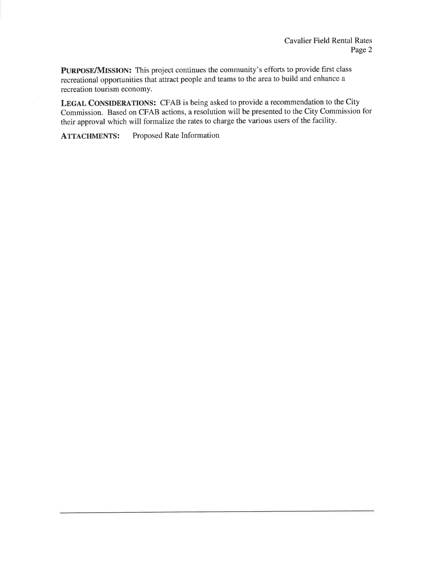PURPOSE/MISSION: This project continues the community's efforts to provide first class recreational opportunities that attract people and teams to the area to build and enhance a recreation tourism economy.

LEGAL CONSIDERATIONS: CFAB is being asked to provide a recommendation to the City Commission. Based on CFAB actions, a resolution will be presented to the City Commission for their approval which will formalize the rates to charge the various users of the facility.

Proposed Rate Information **ATTACHMENTS:**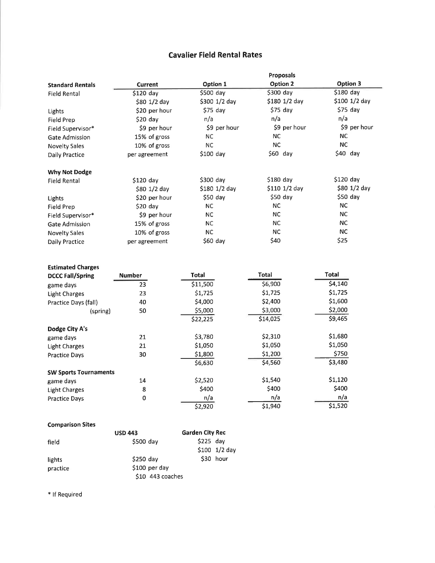### **Cavalier Field Rental Rates**

|                              |                |                        | <b>Proposals</b> |                |
|------------------------------|----------------|------------------------|------------------|----------------|
| <b>Standard Rentals</b>      | Current        | Option 1               | <b>Option 2</b>  | Option 3       |
| <b>Field Rental</b>          | $$120$ day     | \$500 day              | \$300 day        | \$180 day      |
|                              | \$80 1/2 day   | \$300 1/2 day          | \$180 1/2 day    | $$100 1/2$ day |
| Lights                       | \$20 per hour  | $$75$ day              | $$75$ day        | $$75$ day      |
| <b>Field Prep</b>            | $$20$ day      | n/a                    | n/a              | n/a            |
| Field Supervisor*            | \$9 per hour   | \$9 per hour           | \$9 per hour     | \$9 per hour   |
| Gate Admission               | 15% of gross   | <b>NC</b>              | ${\sf NC}$       | <b>NC</b>      |
| <b>Novelty Sales</b>         | 10% of gross   | <b>NC</b>              | NC               | <b>NC</b>      |
| Daily Practice               | per agreement  | $$100$ day             | \$60 day         | \$40 day       |
| <b>Why Not Dodge</b>         |                |                        |                  |                |
| Field Rental                 | $$120$ day     | $$300$ day             | $$180$ day       | $$120$ day     |
|                              | \$80 1/2 day   | \$180 1/2 day          | \$110 1/2 day    | \$80 1/2 day   |
| Lights                       | \$20 per hour  | \$50 day               | \$50 day         | \$50 day       |
| <b>Field Prep</b>            | $$20$ day      | <b>NC</b>              | <b>NC</b>        | <b>NC</b>      |
| Field Supervisor*            | \$9 per hour   | <b>NC</b>              | <b>NC</b>        | <b>NC</b>      |
| <b>Gate Admission</b>        | 15% of gross   | <b>NC</b>              | NC               | <b>NC</b>      |
| <b>Novelty Sales</b>         | 10% of gross   | <b>NC</b>              | <b>NC</b>        | <b>NC</b>      |
| Daily Practice               | per agreement  | \$60 day               | \$40             | \$25           |
|                              |                |                        |                  |                |
| <b>Estimated Charges</b>     |                |                        |                  |                |
| <b>DCCC Fall/Spring</b>      | <b>Number</b>  | <b>Total</b>           | <b>Total</b>     | Total          |
| game days                    | 23             | \$11,500               | \$6,900          | \$4,140        |
| <b>Light Charges</b>         | 23             | \$1,725                | \$1,725          | \$1,725        |
| Practice Days (fall)         | 40             | \$4,000                | \$2,400          | \$1,600        |
| (spring)                     | 50             | \$5,000                | \$3,000          | \$2,000        |
|                              |                | \$22,225               | \$14,025         | \$9,465        |
| Dodge City A's               |                |                        |                  |                |
| game days                    | 21             | \$3,780                | \$2,310          | \$1,680        |
| Light Charges                | 21             | \$1,050                | \$1,050          | \$1,050        |
| <b>Practice Days</b>         | 30             | \$1,800                | \$1,200          | \$750          |
|                              |                | \$6,630                | \$4,560          | \$3,480        |
| <b>SW Sports Tournaments</b> |                |                        |                  |                |
| game days                    | 14             | \$2,520                | \$1,540          | \$1,120        |
| <b>Light Charges</b>         | 8              | \$400                  | \$400            | \$400          |
| <b>Practice Days</b>         | 0              | n/a                    | n/a              | n/a            |
|                              |                | \$2,920                | \$1,940          | \$1,520        |
| <b>Comparison Sites</b>      |                |                        |                  |                |
|                              | <b>USD 443</b> | <b>Garden City Rec</b> |                  |                |
| field                        | \$500 day      | $$225$ day             |                  |                |
|                              |                | \$100 1/2 day          |                  |                |
| lights                       | \$250 day      | \$30 hour              |                  |                |

lights \$250 day  $$100$  per day practice \$10 443 coaches

\* If Required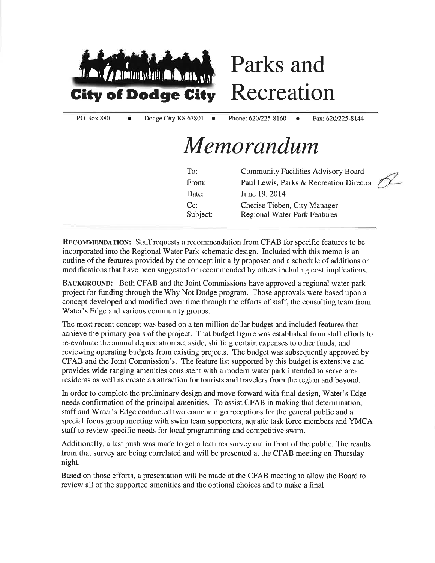

# Parks and Recreation

Dodge City KS 67801 **PO Box 880** Phone: 620/225-8160 Fax: 620/225-8144

# Memorandum

To: **Community Facilities Advisory Board** Paul Lewis, Parks & Recreation Director 7 From: Date: June 19, 2014  $C_{\mathbb{C}}$ Cherise Tieben, City Manager Subject: **Regional Water Park Features** 

**RECOMMENDATION:** Staff requests a recommendation from CFAB for specific features to be incorporated into the Regional Water Park schematic design. Included with this memo is an outline of the features provided by the concept initially proposed and a schedule of additions or modifications that have been suggested or recommended by others including cost implications.

**BACKGROUND:** Both CFAB and the Joint Commissions have approved a regional water park project for funding through the Why Not Dodge program. Those approvals were based upon a concept developed and modified over time through the efforts of staff, the consulting team from Water's Edge and various community groups.

The most recent concept was based on a ten million dollar budget and included features that achieve the primary goals of the project. That budget figure was established from staff efforts to re-evaluate the annual depreciation set aside, shifting certain expenses to other funds, and reviewing operating budgets from existing projects. The budget was subsequently approved by CFAB and the Joint Commission's. The feature list supported by this budget is extensive and provides wide ranging amenities consistent with a modern water park intended to serve area residents as well as create an attraction for tourists and travelers from the region and beyond.

In order to complete the preliminary design and move forward with final design, Water's Edge needs confirmation of the principal amenities. To assist CFAB in making that determination, staff and Water's Edge conducted two come and go receptions for the general public and a special focus group meeting with swim team supporters, aquatic task force members and YMCA staff to review specific needs for local programming and competitive swim.

Additionally, a last push was made to get a features survey out in front of the public. The results from that survey are being correlated and will be presented at the CFAB meeting on Thursday night.

Based on those efforts, a presentation will be made at the CFAB meeting to allow the Board to review all of the supported amenities and the optional choices and to make a final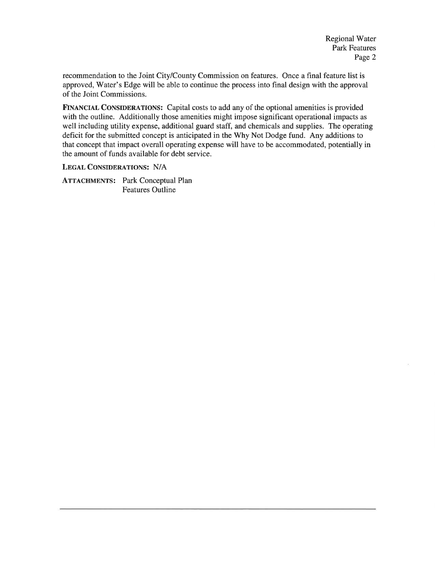recommendation to the Joint City/County Commission on features. Once a final feature list is approved, Water's Edge will be able to continue the process into final design with the approval of the Joint Commissions.

FINANCIAL CONSIDERATIONS: Capital costs to add any of the optional amenities is provided with the outline. Additionally those amenities might impose significant operational impacts as well including utility expense, additional guard staff, and chemicals and supplies. The operating deficit for the submitted concept is anticipated in the Why Not Dodge fund. Any additions to that concept that impact overall operating expense will have to be accommodated, potentially in the amount of funds available for debt service.

**LEGAL CONSIDERATIONS: N/A** 

**ATTACHMENTS:** Park Conceptual Plan **Features Outline**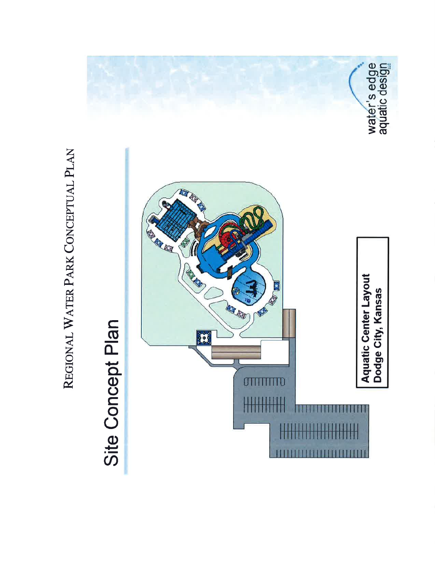

REGIONAL WATER PARK CONCEPTUAL PLAN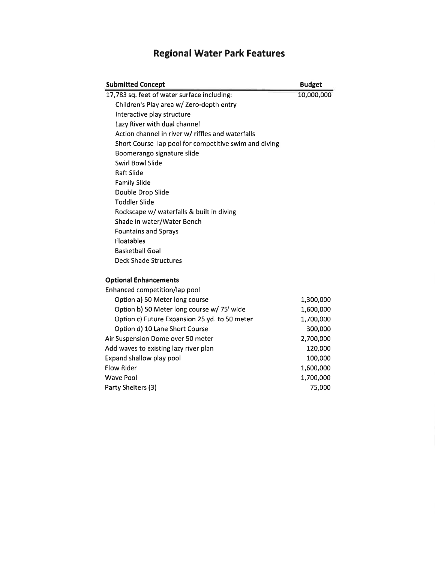# **Regional Water Park Features**

| <b>Submitted Concept</b>                              | <b>Budget</b> |
|-------------------------------------------------------|---------------|
| 17,783 sq. feet of water surface including:           | 10,000,000    |
| Children's Play area w/ Zero-depth entry              |               |
| Interactive play structure                            |               |
| Lazy River with dual channel                          |               |
| Action channel in river w/ riffles and waterfalls     |               |
| Short Course lap pool for competitive swim and diving |               |
| Boomerango signature slide                            |               |
| Swirl Bowl Slide                                      |               |
| <b>Raft Slide</b>                                     |               |
| <b>Family Slide</b>                                   |               |
| Double Drop Slide                                     |               |
| <b>Toddler Slide</b>                                  |               |
| Rockscape w/ waterfalls & built in diving             |               |
| Shade in water/Water Bench                            |               |
| <b>Fountains and Sprays</b>                           |               |
| Floatables                                            |               |
| <b>Basketball Goal</b>                                |               |
| <b>Deck Shade Structures</b>                          |               |
| <b>Optional Enhancements</b>                          |               |
| Enhanced competition/lap pool                         |               |
| Option a) 50 Meter long course                        | 1,300,000     |
| Option b) 50 Meter long course w/ 75' wide            | 1,600,000     |
| Option c) Future Expansion 25 yd. to 50 meter         | 1,700,000     |
| Option d) 10 Lane Short Course                        | 300,000       |
| Air Suspension Dome over 50 meter                     | 2,700,000     |
| Add waves to existing lazy river plan                 | 120,000       |
| Expand shallow play pool                              | 100,000       |
| <b>Flow Rider</b>                                     | 1,600,000     |
| <b>Wave Pool</b>                                      | 1,700,000     |
| Party Shelters (3)                                    | 75,000        |
|                                                       |               |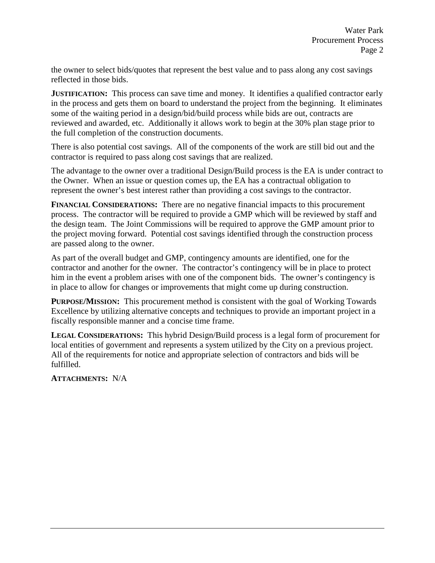the owner to select bids/quotes that represent the best value and to pass along any cost savings reflected in those bids.

**JUSTIFICATION:** This process can save time and money. It identifies a qualified contractor early in the process and gets them on board to understand the project from the beginning. It eliminates some of the waiting period in a design/bid/build process while bids are out, contracts are reviewed and awarded, etc. Additionally it allows work to begin at the 30% plan stage prior to the full completion of the construction documents.

There is also potential cost savings. All of the components of the work are still bid out and the contractor is required to pass along cost savings that are realized.

The advantage to the owner over a traditional Design/Build process is the EA is under contract to the Owner. When an issue or question comes up, the EA has a contractual obligation to represent the owner's best interest rather than providing a cost savings to the contractor.

**FINANCIAL CONSIDERATIONS:** There are no negative financial impacts to this procurement process. The contractor will be required to provide a GMP which will be reviewed by staff and the design team. The Joint Commissions will be required to approve the GMP amount prior to the project moving forward. Potential cost savings identified through the construction process are passed along to the owner.

As part of the overall budget and GMP, contingency amounts are identified, one for the contractor and another for the owner. The contractor's contingency will be in place to protect him in the event a problem arises with one of the component bids. The owner's contingency is in place to allow for changes or improvements that might come up during construction.

**PURPOSE/MISSION:** This procurement method is consistent with the goal of Working Towards Excellence by utilizing alternative concepts and techniques to provide an important project in a fiscally responsible manner and a concise time frame.

**LEGAL CONSIDERATIONS:** This hybrid Design/Build process is a legal form of procurement for local entities of government and represents a system utilized by the City on a previous project. All of the requirements for notice and appropriate selection of contractors and bids will be fulfilled.

**ATTACHMENTS:** N/A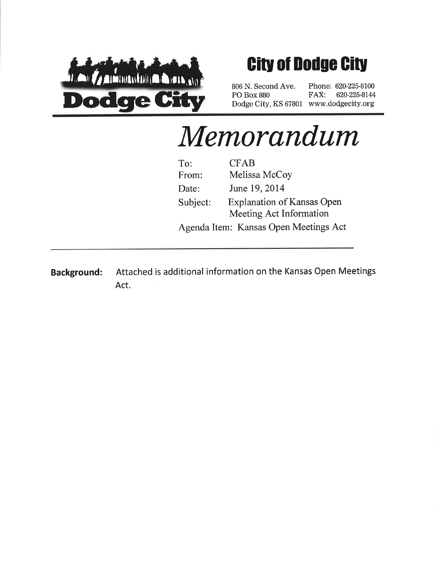

# **City of Dodge City**

806 N. Second Ave. Phone: 620-225-8100 **PO Box 880** FAX: 620-225-8144 Dodge City, KS 67801 www.dodgecity.org

# Memorandum

**CFAB** To: Melissa McCoy From: June 19, 2014 Date: **Explanation of Kansas Open** Subject: Meeting Act Information Agenda Item: Kansas Open Meetings Act

Attached is additional information on the Kansas Open Meetings **Background:** Act.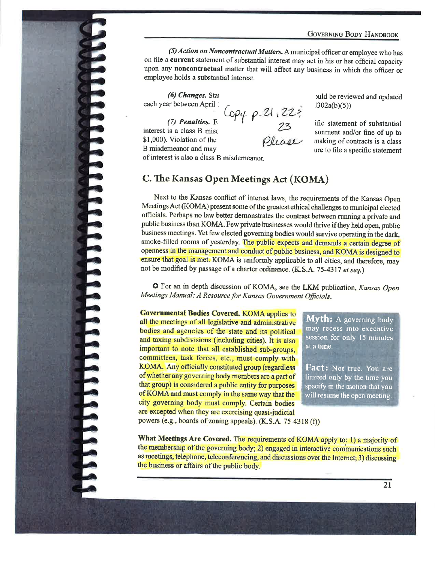(5) Action on Noncontractual Matters. A municipal officer or employee who has on file a current statement of substantial interest may act in his or her official capacity upon any noncontractual matter that will affect any business in which the officer or employee holds a substantial interest.

(6) Changes. Stat each year between April 1

(7) Penalties. F. interest is a class B misc \$1,000). Violation of the B misdemeanor and may of interest is also a class B misdemeanor.

Copy p. 21, 22 =><br>23<br>Please

ould be reviewed and updated  $1302a(b)(5)$ 

ific statement of substantial sonment and/or fine of up to making of contracts is a class ure to file a specific statement

# C. The Kansas Open Meetings Act (KOMA)

Next to the Kansas conflict of interest laws, the requirements of the Kansas Open Meetings Act (KOMA) present some of the greatest ethical challenges to municipal elected officials. Perhaps no law better demonstrates the contrast between running a private and public business than KOMA. Few private businesses would thrive if they held open, public business meetings. Yet few elected governing bodies would survive operating in the dark, smoke-filled rooms of yesterday. The public expects and demands a certain degree of openness in the management and conduct of public business, and KOMA is designed to ensure that goal is met. KOMA is uniformly applicable to all cities, and therefore, may not be modified by passage of a charter ordinance. (K.S.A. 75-4317 et seq.)

**O** For an in depth discussion of KOMA, see the LKM publication, Kansas Open Meetings Manual: A Resource for Kansas Government Officials.

**Governmental Bodies Covered. KOMA applies to** all the meetings of all legislative and administrative bodies and agencies of the state and its political and taxing subdivisions (including cities). It is also important to note that all established sub-groups, committees, task forces, etc., must comply with KOMA. Any officially constituted group (regardless of whether any governing body members are a part of that group) is considered a public entity for purposes of KOMA and must comply in the same way that the city governing body must comply. Certain bodies are excepted when they are exercising quasi-judicial powers (e.g., boards of zoning appeals). (K.S.A. 75-4318 (f))

Myth: A governing body may recess into executive session for only 15 minutes at a time.

Fact: Not true. You are limited only by the time you specify in the motion that you will resume the open meeting.

What Meetings Are Covered. The requirements of KOMA apply to: 1) a majority of the membership of the governing body; 2) engaged in interactive communications such as meetings, telephone, teleconferencing, and discussions over the Internet; 3) discussing the business or affairs of the public body.

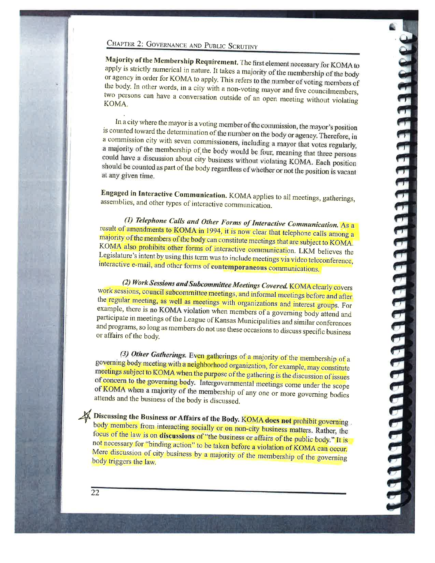Majority of the Membership Requirement. The first element necessary for KOMA to apply is strictly numerical in nature. It takes a majority of the membership of the body or agency in order for KOMA to apply. This refers to the number of voting members of the body. In other words, in a city with a non-voting mayor and five councilmembers, two persons can have a conversation outside of an open meeting without violating KOMA.

In a city where the mayor is a voting member of the commission, the mayor's position is counted toward the determination of the number on the body or agency. Therefore, in a commission city with seven commissioners, including a mayor that votes regularly, a majority of the membership of the body would be four, meaning that three persons could have a discussion about city business without violating KOMA. Each position should be counted as part of the body regardless of whether or not the position is vacant at any given time.

Engaged in Interactive Communication. KOMA applies to all meetings, gatherings, assemblies, and other types of interactive communication.

(1) Telephone Calls and Other Forms of Interactive Communication. As a result of amendments to KOMA in 1994, it is now clear that telephone calls among a majority of the members of the body can constitute meetings that are subject to KOMA. KOMA also prohibits other forms of interactive communication. LKM believes the Legislature's intent by using this term was to include meetings via video teleconference, interactive e-mail, and other forms of contemporaneous communications.

(2) Work Sessions and Subcommittee Meetings Covered. KOMA clearly covers work sessions, council subcommittee meetings, and informal meetings before and after the regular meeting, as well as meetings with organizations and interest groups. For example, there is no KOMA violation when members of a governing body attend and participate in meetings of the League of Kansas Municipalities and similar conferences and programs, so long as members do not use these occasions to discuss specific business or affairs of the body.

(3) Other Gatherings. Even gatherings of a majority of the membership of a governing body meeting with a neighborhood organization, for example, may constitute meetings subject to KOMA when the purpose of the gathering is the discussion of issues of concern to the governing body. Intergovernmental meetings come under the scope of KOMA when a majority of the membership of any one or more governing bodies attends and the business of the body is discussed.

A Discussing the Business or Affairs of the Body. KOMA does not prohibit governing body members from interacting socially or on non-city business matters. Rather, the focus of the law is on discussions of "the business or affairs of the public body." It is not necessary for "binding action" to be taken before a violation of KOMA can occur. Mere discussion of city business by a majority of the membership of the governing body triggers the law.

 $\overline{22}$